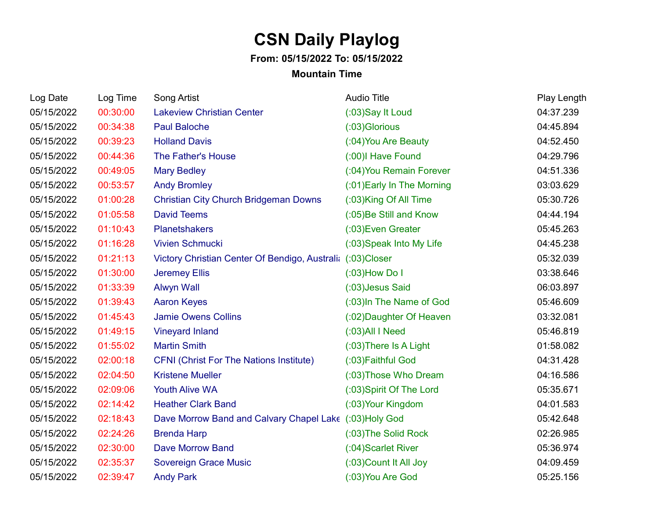## **CSN Daily Playlog**

## **From: 05/15/2022 To: 05/15/2022**

## **Mountain Time**

| Log Date   | Log Time | Song Artist                                                | <b>Audio Title</b>         | Play Length |
|------------|----------|------------------------------------------------------------|----------------------------|-------------|
| 05/15/2022 | 00:30:00 | <b>Lakeview Christian Center</b>                           | (:03)Say It Loud           | 04:37.239   |
| 05/15/2022 | 00:34:38 | <b>Paul Baloche</b>                                        | (:03) Glorious             | 04:45.894   |
| 05/15/2022 | 00:39:23 | <b>Holland Davis</b>                                       | (:04) You Are Beauty       | 04:52.450   |
| 05/15/2022 | 00:44:36 | The Father's House                                         | (:00)I Have Found          | 04:29.796   |
| 05/15/2022 | 00:49:05 | <b>Mary Bedley</b>                                         | (:04) You Remain Forever   | 04:51.336   |
| 05/15/2022 | 00:53:57 | <b>Andy Bromley</b>                                        | (:01) Early In The Morning | 03:03.629   |
| 05/15/2022 | 01:00:28 | <b>Christian City Church Bridgeman Downs</b>               | (:03)King Of All Time      | 05:30.726   |
| 05/15/2022 | 01:05:58 | <b>David Teems</b>                                         | (:05)Be Still and Know     | 04:44.194   |
| 05/15/2022 | 01:10:43 | <b>Planetshakers</b>                                       | (:03) Even Greater         | 05:45.263   |
| 05/15/2022 | 01:16:28 | Vivien Schmucki                                            | (:03) Speak Into My Life   | 04:45.238   |
| 05/15/2022 | 01:21:13 | Victory Christian Center Of Bendigo, Australia (:03)Closer |                            | 05:32.039   |
| 05/15/2022 | 01:30:00 | <b>Jeremey Ellis</b>                                       | $(03)$ How Do I            | 03:38.646   |
| 05/15/2022 | 01:33:39 | <b>Alwyn Wall</b>                                          | (:03) Jesus Said           | 06:03.897   |
| 05/15/2022 | 01:39:43 | <b>Aaron Keyes</b>                                         | (:03)In The Name of God    | 05:46.609   |
| 05/15/2022 | 01:45:43 | <b>Jamie Owens Collins</b>                                 | (:02) Daughter Of Heaven   | 03:32.081   |
| 05/15/2022 | 01:49:15 | <b>Vineyard Inland</b>                                     | $(03)$ All I Need          | 05:46.819   |
| 05/15/2022 | 01:55:02 | <b>Martin Smith</b>                                        | (:03) There Is A Light     | 01:58.082   |
| 05/15/2022 | 02:00:18 | <b>CFNI (Christ For The Nations Institute)</b>             | (:03) Faithful God         | 04:31.428   |
| 05/15/2022 | 02:04:50 | <b>Kristene Mueller</b>                                    | (:03) Those Who Dream      | 04:16.586   |
| 05/15/2022 | 02:09:06 | <b>Youth Alive WA</b>                                      | (:03) Spirit Of The Lord   | 05:35.671   |
| 05/15/2022 | 02:14:42 | <b>Heather Clark Band</b>                                  | (:03) Your Kingdom         | 04:01.583   |
| 05/15/2022 | 02:18:43 | Dave Morrow Band and Calvary Chapel Lake (:03)Holy God     |                            | 05:42.648   |
| 05/15/2022 | 02:24:26 | <b>Brenda Harp</b>                                         | (:03) The Solid Rock       | 02:26.985   |
| 05/15/2022 | 02:30:00 | <b>Dave Morrow Band</b>                                    | (:04) Scarlet River        | 05:36.974   |
| 05/15/2022 | 02:35:37 | Sovereign Grace Music                                      | (:03) Count It All Joy     | 04:09.459   |
| 05/15/2022 | 02:39:47 | <b>Andy Park</b>                                           | (:03) You Are God          | 05:25.156   |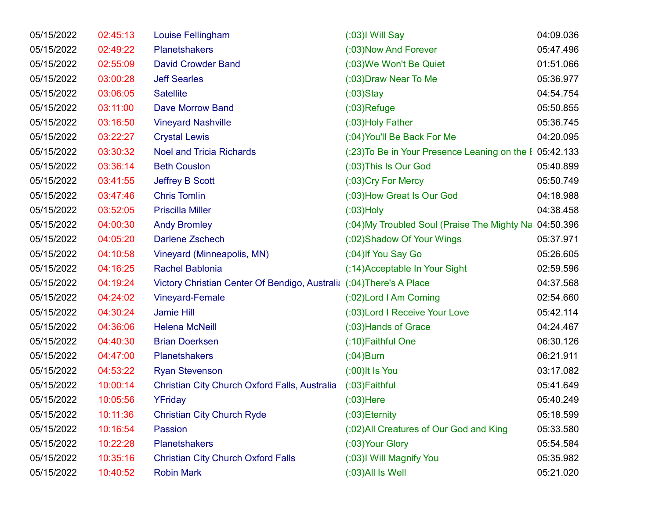| 05/15/2022 | 02:45:13 | Louise Fellingham                                                    | $(.03)$ I Will Say                                      | 04:09.036 |
|------------|----------|----------------------------------------------------------------------|---------------------------------------------------------|-----------|
| 05/15/2022 | 02:49:22 | <b>Planetshakers</b>                                                 | (:03) Now And Forever                                   | 05:47.496 |
| 05/15/2022 | 02:55:09 | <b>David Crowder Band</b>                                            | (:03) We Won't Be Quiet                                 | 01:51.066 |
| 05/15/2022 | 03:00:28 | <b>Jeff Searles</b>                                                  | (:03) Draw Near To Me                                   | 05:36.977 |
| 05/15/2022 | 03:06:05 | <b>Satellite</b>                                                     | $(03)$ Stay                                             | 04:54.754 |
| 05/15/2022 | 03:11:00 | <b>Dave Morrow Band</b>                                              | $(03)$ Refuge                                           | 05:50.855 |
| 05/15/2022 | 03:16:50 | <b>Vineyard Nashville</b>                                            | (:03) Holy Father                                       | 05:36.745 |
| 05/15/2022 | 03:22:27 | <b>Crystal Lewis</b>                                                 | (:04) You'll Be Back For Me                             | 04:20.095 |
| 05/15/2022 | 03:30:32 | <b>Noel and Tricia Richards</b>                                      | (:23) To Be in Your Presence Leaning on the I 05:42.133 |           |
| 05/15/2022 | 03:36:14 | <b>Beth Couslon</b>                                                  | (:03) This Is Our God                                   | 05:40.899 |
| 05/15/2022 | 03:41:55 | <b>Jeffrey B Scott</b>                                               | (:03) Cry For Mercy                                     | 05:50.749 |
| 05/15/2022 | 03:47:46 | <b>Chris Tomlin</b>                                                  | (:03) How Great Is Our God                              | 04:18.988 |
| 05/15/2022 | 03:52:05 | <b>Priscilla Miller</b>                                              | $(03)$ Holy                                             | 04:38.458 |
| 05/15/2022 | 04:00:30 | <b>Andy Bromley</b>                                                  | (:04) My Troubled Soul (Praise The Mighty Na 04:50.396  |           |
| 05/15/2022 | 04:05:20 | <b>Darlene Zschech</b>                                               | (:02) Shadow Of Your Wings                              | 05:37.971 |
| 05/15/2022 | 04:10:58 | Vineyard (Minneapolis, MN)                                           | (:04) If You Say Go                                     | 05:26.605 |
| 05/15/2022 | 04:16:25 | Rachel Bablonia                                                      | (:14) Acceptable In Your Sight                          | 02:59.596 |
| 05/15/2022 | 04:19:24 | Victory Christian Center Of Bendigo, Australia (:04) There's A Place |                                                         | 04:37.568 |
| 05/15/2022 | 04:24:02 | <b>Vineyard-Female</b>                                               | (:02) Lord I Am Coming                                  | 02:54.660 |
| 05/15/2022 | 04:30:24 | Jamie Hill                                                           | (:03) Lord I Receive Your Love                          | 05:42.114 |
| 05/15/2022 | 04:36:06 | <b>Helena McNeill</b>                                                | (:03) Hands of Grace                                    | 04:24.467 |
| 05/15/2022 | 04:40:30 | <b>Brian Doerksen</b>                                                | (:10) Faithful One                                      | 06:30.126 |
| 05/15/2022 | 04:47:00 | <b>Planetshakers</b>                                                 | $(0.04)$ Burn                                           | 06:21.911 |
| 05/15/2022 | 04:53:22 | <b>Ryan Stevenson</b>                                                | $(0.00)$ It Is You                                      | 03:17.082 |
| 05/15/2022 | 10:00:14 | Christian City Church Oxford Falls, Australia                        | (:03) Faithful                                          | 05:41.649 |
| 05/15/2022 | 10:05:56 | YFriday                                                              | $(03)$ Here                                             | 05:40.249 |
| 05/15/2022 | 10:11:36 | <b>Christian City Church Ryde</b>                                    | $(0.03)$ Eternity                                       | 05:18.599 |
| 05/15/2022 | 10:16:54 | Passion                                                              | (:02) All Creatures of Our God and King                 | 05:33.580 |
| 05/15/2022 | 10:22:28 | <b>Planetshakers</b>                                                 | (:03) Your Glory                                        | 05:54.584 |
| 05/15/2022 | 10:35:16 | <b>Christian City Church Oxford Falls</b>                            | (:03)I Will Magnify You                                 | 05:35.982 |
| 05/15/2022 | 10:40:52 | <b>Robin Mark</b>                                                    | $(0.03)$ All Is Well                                    | 05:21.020 |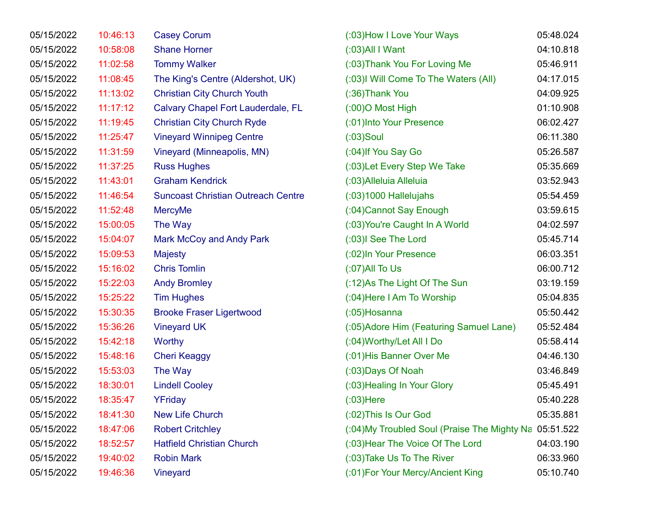| 05/15/2022<br>10:58:08<br>05/15/2022<br>11:02:58<br>11:08:45<br>05/15/2022<br>05/15/2022<br>11:13:02<br>11:17:12<br>05/15/2022<br>05/15/2022<br>11:19:45<br>05/15/2022<br>11:25:47<br>05/15/2022<br>11:31:59 | <b>Shane Horner</b><br><b>Tommy Walker</b><br>The King's Centre (Aldershot, UK)<br><b>Christian City Church Youth</b><br>Calvary Chapel Fort Lauderdale, FL<br><b>Christian City Church Ryde</b><br><b>Vineyard Winnipeg Centre</b><br>Vineyard (Minneapolis, MN)<br><b>Russ Hughes</b><br><b>Graham Kendrick</b> | $(03)$ All I Want<br>(:03) Thank You For Loving Me<br>(:03) Will Come To The Waters (All)<br>$(.36)$ Thank You<br>$(0.00)$ O Most High<br>(:01)Into Your Presence<br>$(03)$ Soul<br>(:04) If You Say Go<br>(:03) Let Every Step We Take | 04:10.818<br>05:46.911<br>04:17.015<br>04:09.925<br>01:10.908<br>06:02.427<br>06:11.380<br>05:26.587 |
|--------------------------------------------------------------------------------------------------------------------------------------------------------------------------------------------------------------|-------------------------------------------------------------------------------------------------------------------------------------------------------------------------------------------------------------------------------------------------------------------------------------------------------------------|-----------------------------------------------------------------------------------------------------------------------------------------------------------------------------------------------------------------------------------------|------------------------------------------------------------------------------------------------------|
|                                                                                                                                                                                                              |                                                                                                                                                                                                                                                                                                                   |                                                                                                                                                                                                                                         |                                                                                                      |
|                                                                                                                                                                                                              |                                                                                                                                                                                                                                                                                                                   |                                                                                                                                                                                                                                         |                                                                                                      |
|                                                                                                                                                                                                              |                                                                                                                                                                                                                                                                                                                   |                                                                                                                                                                                                                                         |                                                                                                      |
|                                                                                                                                                                                                              |                                                                                                                                                                                                                                                                                                                   |                                                                                                                                                                                                                                         |                                                                                                      |
|                                                                                                                                                                                                              |                                                                                                                                                                                                                                                                                                                   |                                                                                                                                                                                                                                         |                                                                                                      |
|                                                                                                                                                                                                              |                                                                                                                                                                                                                                                                                                                   |                                                                                                                                                                                                                                         |                                                                                                      |
|                                                                                                                                                                                                              |                                                                                                                                                                                                                                                                                                                   |                                                                                                                                                                                                                                         |                                                                                                      |
|                                                                                                                                                                                                              |                                                                                                                                                                                                                                                                                                                   |                                                                                                                                                                                                                                         |                                                                                                      |
| 05/15/2022<br>11:37:25                                                                                                                                                                                       |                                                                                                                                                                                                                                                                                                                   |                                                                                                                                                                                                                                         | 05:35.669                                                                                            |
| 05/15/2022<br>11:43:01                                                                                                                                                                                       |                                                                                                                                                                                                                                                                                                                   | (:03) Alleluia Alleluia                                                                                                                                                                                                                 | 03:52.943                                                                                            |
| 05/15/2022<br>11:46:54                                                                                                                                                                                       | <b>Suncoast Christian Outreach Centre</b>                                                                                                                                                                                                                                                                         | $(03)1000$ Hallelujahs                                                                                                                                                                                                                  | 05:54.459                                                                                            |
| 05/15/2022<br>11:52:48                                                                                                                                                                                       | <b>MercyMe</b>                                                                                                                                                                                                                                                                                                    | (:04) Cannot Say Enough                                                                                                                                                                                                                 | 03:59.615                                                                                            |
| 05/15/2022<br>15:00:05                                                                                                                                                                                       | The Way                                                                                                                                                                                                                                                                                                           | (:03) You're Caught In A World                                                                                                                                                                                                          | 04:02.597                                                                                            |
| 05/15/2022<br>15:04:07                                                                                                                                                                                       | <b>Mark McCoy and Andy Park</b>                                                                                                                                                                                                                                                                                   | (:03)I See The Lord                                                                                                                                                                                                                     | 05:45.714                                                                                            |
| 05/15/2022<br>15:09:53<br><b>Majesty</b>                                                                                                                                                                     |                                                                                                                                                                                                                                                                                                                   | (:02) In Your Presence                                                                                                                                                                                                                  | 06:03.351                                                                                            |
| 15:16:02<br>05/15/2022                                                                                                                                                                                       | <b>Chris Tomlin</b>                                                                                                                                                                                                                                                                                               | $(07)$ All To Us                                                                                                                                                                                                                        | 06:00.712                                                                                            |
| 15:22:03<br>05/15/2022                                                                                                                                                                                       | <b>Andy Bromley</b>                                                                                                                                                                                                                                                                                               | (:12)As The Light Of The Sun                                                                                                                                                                                                            | 03:19.159                                                                                            |
| 05/15/2022<br>15:25:22                                                                                                                                                                                       | <b>Tim Hughes</b>                                                                                                                                                                                                                                                                                                 | (:04) Here I Am To Worship                                                                                                                                                                                                              | 05:04.835                                                                                            |
| 05/15/2022<br>15:30:35                                                                                                                                                                                       | <b>Brooke Fraser Ligertwood</b>                                                                                                                                                                                                                                                                                   | $(0.05)$ Hosanna                                                                                                                                                                                                                        | 05:50.442                                                                                            |
| 05/15/2022<br>15:36:26                                                                                                                                                                                       | <b>Vineyard UK</b>                                                                                                                                                                                                                                                                                                | (:05) Adore Him (Featuring Samuel Lane)                                                                                                                                                                                                 | 05:52.484                                                                                            |
| 05/15/2022<br>15:42:18<br>Worthy                                                                                                                                                                             |                                                                                                                                                                                                                                                                                                                   | (:04) Worthy/Let All I Do                                                                                                                                                                                                               | 05:58.414                                                                                            |
| 05/15/2022<br>15:48:16                                                                                                                                                                                       | <b>Cheri Keaggy</b>                                                                                                                                                                                                                                                                                               | (:01) His Banner Over Me                                                                                                                                                                                                                | 04:46.130                                                                                            |
| 05/15/2022<br>15:53:03                                                                                                                                                                                       | The Way                                                                                                                                                                                                                                                                                                           | (:03) Days Of Noah                                                                                                                                                                                                                      | 03:46.849                                                                                            |
| 05/15/2022<br>18:30:01                                                                                                                                                                                       | <b>Lindell Cooley</b>                                                                                                                                                                                                                                                                                             | (:03) Healing In Your Glory                                                                                                                                                                                                             | 05:45.491                                                                                            |
| 05/15/2022<br>18:35:47<br>YFriday                                                                                                                                                                            |                                                                                                                                                                                                                                                                                                                   | $(03)$ Here                                                                                                                                                                                                                             | 05:40.228                                                                                            |
| 05/15/2022<br>18:41:30                                                                                                                                                                                       | <b>New Life Church</b>                                                                                                                                                                                                                                                                                            | (:02) This Is Our God                                                                                                                                                                                                                   | 05:35.881                                                                                            |
| 05/15/2022<br>18:47:06                                                                                                                                                                                       | <b>Robert Critchley</b>                                                                                                                                                                                                                                                                                           | (:04) My Troubled Soul (Praise The Mighty Na 05:51.522                                                                                                                                                                                  |                                                                                                      |
| 05/15/2022<br>18:52:57                                                                                                                                                                                       | <b>Hatfield Christian Church</b>                                                                                                                                                                                                                                                                                  | (:03) Hear The Voice Of The Lord                                                                                                                                                                                                        | 04:03.190                                                                                            |
| 05/15/2022<br>19:40:02                                                                                                                                                                                       | <b>Robin Mark</b>                                                                                                                                                                                                                                                                                                 | (:03) Take Us To The River                                                                                                                                                                                                              | 06:33.960                                                                                            |
| 05/15/2022<br>19:46:36<br>Vineyard                                                                                                                                                                           |                                                                                                                                                                                                                                                                                                                   | (:01) For Your Mercy/Ancient King                                                                                                                                                                                                       | 05:10.740                                                                                            |